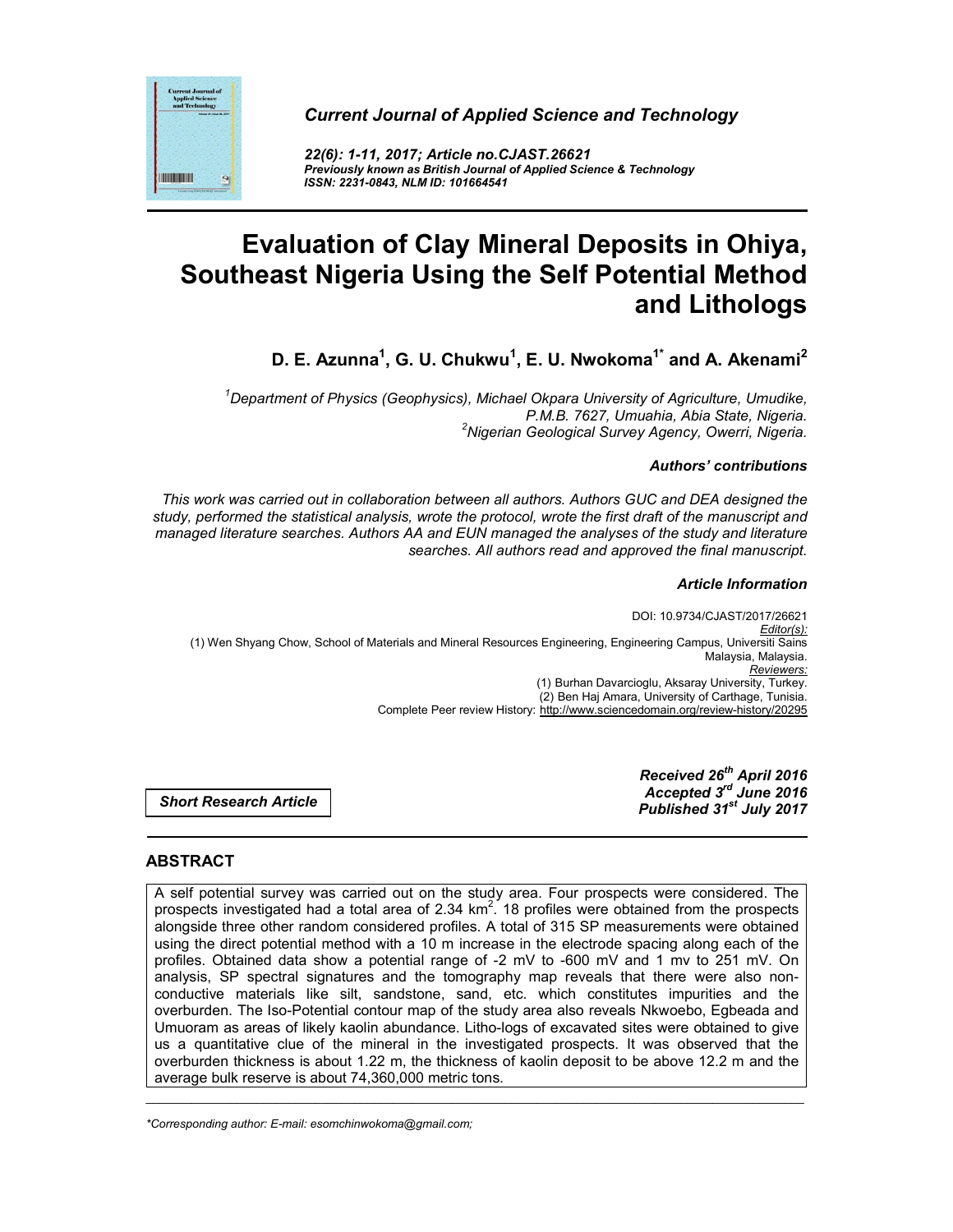



*22(6): 1-11, 2017; Article no.CJAST.26621 Previously known as British Journal of Applied Science & Technology ISSN: 2231-0843, NLM ID: 101664541*

# **Evaluation of Clay Mineral Deposits in Ohiya, Southeast Nigeria Using the Self Potential Method and Lithologs**

**D. E. Azunna1 , G. U. Chukwu<sup>1</sup> , E. U. Nwokoma1\* and A. Akenami2**

*1 Department of Physics (Geophysics), Michael Okpara University of Agriculture, Umudike, P.M.B. 7627, Umuahia, Abia State, Nigeria. <sup>2</sup> Nigerian Geological Survey Agency, Owerri, Nigeria.*

## *Authors' contributions*

*This work was carried out in collaboration between all authors. Authors GUC and DEA designed the study, performed the statistical analysis, wrote the protocol, wrote the first draft of the manuscript and managed literature searches. Authors AA and EUN managed the analyses of the study and literature searches. All authors read and approved the final manuscript.*

## *Article Information*

DOI: 10.9734/CJAST/2017/26621 *Editor(s):* (1) Wen Shyang Chow, School of Materials and Mineral Resources Engineering, Engineering Campus, Universiti Sains Malaysia, Malaysia. *Reviewers:* (1) Burhan Davarcioglu, Aksaray University, Turkey. (2) Ben Haj Amara, University of Carthage, Tunisia. Complete Peer review History: http://www.sciencedomain.org/review-history/20295

*Short Research Article*

*Received 26th April 2016 Accepted 3rd June 2016 Published 31st July 2017*

# **ABSTRACT**

A self potential survey was carried out on the study area. Four prospects were considered. The prospects investigated had a total area of 2.34  $km^2$ . 18 profiles were obtained from the prospects alongside three other random considered profiles. A total of 315 SP measurements were obtained using the direct potential method with a 10 m increase in the electrode spacing along each of the profiles. Obtained data show a potential range of -2 mV to -600 mV and 1 mv to 251 mV. On analysis, SP spectral signatures and the tomography map reveals that there were also nonconductive materials like silt, sandstone, sand, etc. which constitutes impurities and the overburden. The Iso-Potential contour map of the study area also reveals Nkwoebo, Egbeada and Umuoram as areas of likely kaolin abundance. Litho-logs of excavated sites were obtained to give us a quantitative clue of the mineral in the investigated prospects. It was observed that the overburden thickness is about 1.22 m, the thickness of kaolin deposit to be above 12.2 m and the average bulk reserve is about 74,360,000 metric tons.

\_\_\_\_\_\_\_\_\_\_\_\_\_\_\_\_\_\_\_\_\_\_\_\_\_\_\_\_\_\_\_\_\_\_\_\_\_\_\_\_\_\_\_\_\_\_\_\_\_\_\_\_\_\_\_\_\_\_\_\_\_\_\_\_\_\_\_\_\_\_\_\_\_\_\_\_\_\_\_\_\_\_\_\_\_\_\_\_\_\_\_\_\_\_\_\_\_\_\_\_\_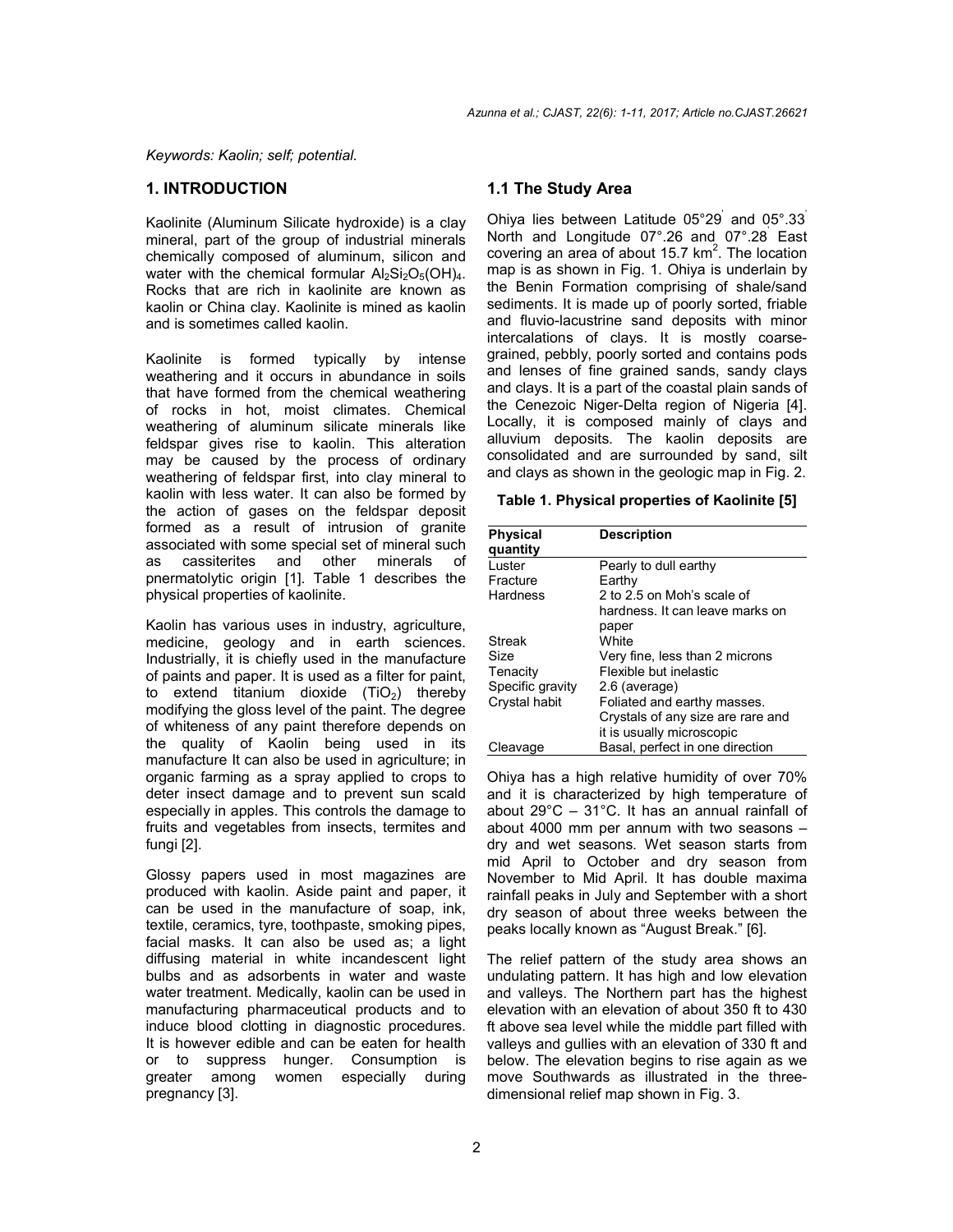*Keywords: Kaolin; self; potential.*

#### **1. INTRODUCTION**

Kaolinite (Aluminum Silicate hydroxide) is a clay mineral, part of the group of industrial minerals chemically composed of aluminum, silicon and water with the chemical formular  $Al_2Si_2O_5(OH)_4$ . Rocks that are rich in kaolinite are known as kaolin or China clay. Kaolinite is mined as kaolin and is sometimes called kaolin.

Kaolinite is formed typically by intense weathering and it occurs in abundance in soils that have formed from the chemical weathering of rocks in hot, moist climates. Chemical weathering of aluminum silicate minerals like feldspar gives rise to kaolin. This alteration may be caused by the process of ordinary weathering of feldspar first, into clay mineral to kaolin with less water. It can also be formed by the action of gases on the feldspar deposit formed as a result of intrusion of granite associated with some special set of mineral such as cassiterites and other minerals of pnermatolytic origin [1]. Table 1 describes the physical properties of kaolinite.

Kaolin has various uses in industry, agriculture, medicine, geology and in earth sciences. Industrially, it is chiefly used in the manufacture of paints and paper. It is used as a filter for paint, to extend titanium dioxide  $(TiO<sub>2</sub>)$  thereby modifying the gloss level of the paint. The degree of whiteness of any paint therefore depends on the quality of Kaolin being used in its manufacture It can also be used in agriculture; in organic farming as a spray applied to crops to deter insect damage and to prevent sun scald especially in apples. This controls the damage to fruits and vegetables from insects, termites and fungi [2].

Glossy papers used in most magazines are produced with kaolin. Aside paint and paper, it can be used in the manufacture of soap, ink, textile, ceramics, tyre, toothpaste, smoking pipes, facial masks. It can also be used as; a light diffusing material in white incandescent light bulbs and as adsorbents in water and waste water treatment. Medically, kaolin can be used in manufacturing pharmaceutical products and to induce blood clotting in diagnostic procedures. It is however edible and can be eaten for health or to suppress hunger. Consumption is greater among women especially during pregnancy [3].

# **1.1 The Study Area**

Ohiya lies between Latitude 05°29' and 05°.33' North and Longitude 07°.26 and 07°.28' East covering an area of about 15.7  $km^2$ . The location map is as shown in Fig. 1. Ohiya is underlain by the Benin Formation comprising of shale/sand sediments. It is made up of poorly sorted, friable and fluvio-lacustrine sand deposits with minor intercalations of clays. It is mostly coarsegrained, pebbly, poorly sorted and contains pods and lenses of fine grained sands, sandy clays and clays. It is a part of the coastal plain sands of the Cenezoic Niger-Delta region of Nigeria [4]. Locally, it is composed mainly of clays and alluvium deposits. The kaolin deposits are consolidated and are surrounded by sand, silt and clays as shown in the geologic map in Fig. 2.

#### **Table 1. Physical properties of Kaolinite [5]**

| <b>Physical</b>  | <b>Description</b>                |
|------------------|-----------------------------------|
| quantity         |                                   |
| Luster           | Pearly to dull earthy             |
| Fracture         | Earthy                            |
| Hardness         | 2 to 2.5 on Moh's scale of        |
|                  | hardness. It can leave marks on   |
|                  | paper                             |
| Streak           | <b>White</b>                      |
| Size             | Very fine, less than 2 microns    |
| Tenacity         | Flexible but inelastic            |
| Specific gravity | 2.6 (average)                     |
| Crystal habit    | Foliated and earthy masses.       |
|                  | Crystals of any size are rare and |
|                  | it is usually microscopic         |
| Cleavage         | Basal, perfect in one direction   |

Ohiya has a high relative humidity of over 70% and it is characterized by high temperature of about 29°C – 31°C. It has an annual rainfall of about 4000 mm per annum with two seasons – dry and wet seasons. Wet season starts from mid April to October and dry season from November to Mid April. It has double maxima rainfall peaks in July and September with a short dry season of about three weeks between the peaks locally known as "August Break." [6].

The relief pattern of the study area shows an undulating pattern. It has high and low elevation and valleys. The Northern part has the highest elevation with an elevation of about 350 ft to 430 ft above sea level while the middle part filled with valleys and gullies with an elevation of 330 ft and below. The elevation begins to rise again as we move Southwards as illustrated in the threedimensional relief map shown in Fig. 3.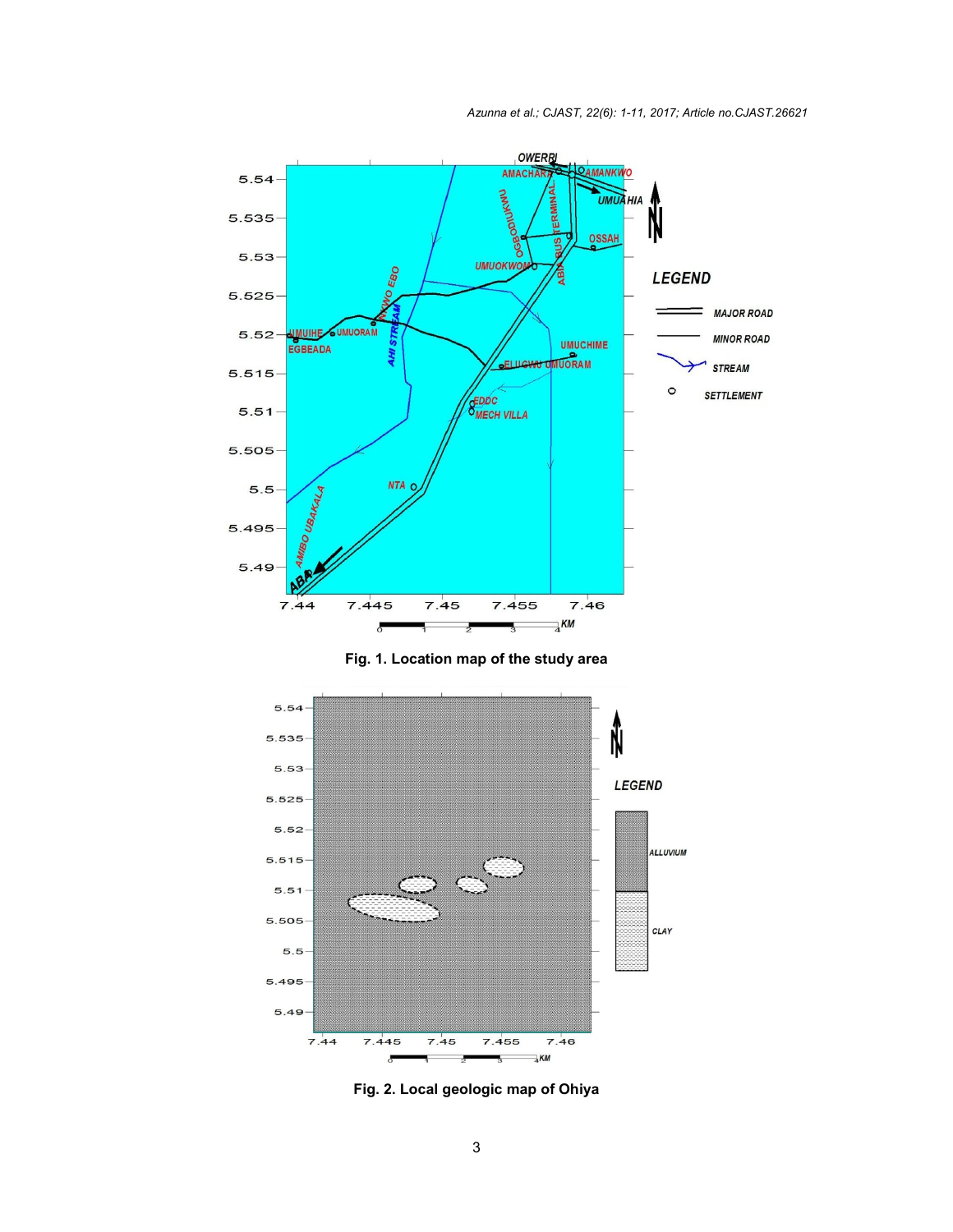





**Fig. 2. Local geologic map of Ohiya**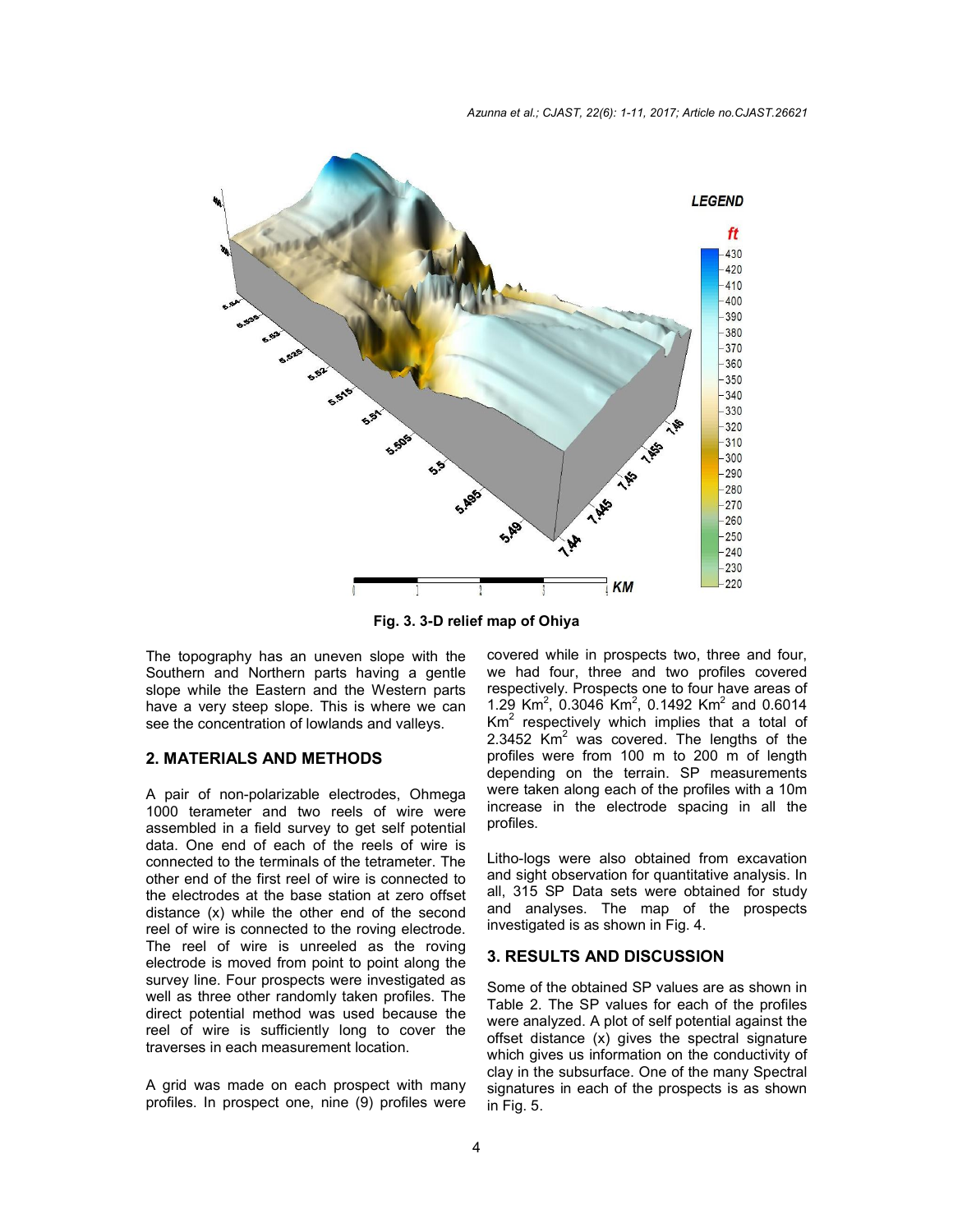

**Fig. 3. 3-D relief map of Ohiya**

The topography has an uneven slope with the Southern and Northern parts having a gentle slope while the Eastern and the Western parts have a very steep slope. This is where we can see the concentration of lowlands and valleys.

#### **2. MATERIALS AND METHODS**

A pair of non-polarizable electrodes, Ohmega 1000 terameter and two reels of wire were assembled in a field survey to get self potential data. One end of each of the reels of wire is connected to the terminals of the tetrameter. The other end of the first reel of wire is connected to the electrodes at the base station at zero offset distance (x) while the other end of the second reel of wire is connected to the roving electrode. The reel of wire is unreeled as the roving electrode is moved from point to point along the survey line. Four prospects were investigated as well as three other randomly taken profiles. The direct potential method was used because the reel of wire is sufficiently long to cover the traverses in each measurement location.

A grid was made on each prospect with many profiles. In prospect one, nine (9) profiles were covered while in prospects two, three and four, we had four, three and two profiles covered respectively. Prospects one to four have areas of 1.29 Km<sup>2</sup>, 0.3046 Km<sup>2</sup>, 0.1492 Km<sup>2</sup> and 0.6014  $Km<sup>2</sup>$  respectively which implies that a total of 2.3452 Km<sup>2</sup> was covered. The lengths of the profiles were from 100 m to 200 m of length depending on the terrain. SP measurements were taken along each of the profiles with a 10m increase in the electrode spacing in all the profiles.

Litho-logs were also obtained from excavation and sight observation for quantitative analysis. In all, 315 SP Data sets were obtained for study and analyses. The map of the prospects investigated is as shown in Fig. 4.

#### **3. RESULTS AND DISCUSSION**

Some of the obtained SP values are as shown in Table 2. The SP values for each of the profiles were analyzed. A plot of self potential against the offset distance (x) gives the spectral signature which gives us information on the conductivity of clay in the subsurface. One of the many Spectral signatures in each of the prospects is as shown in Fig. 5.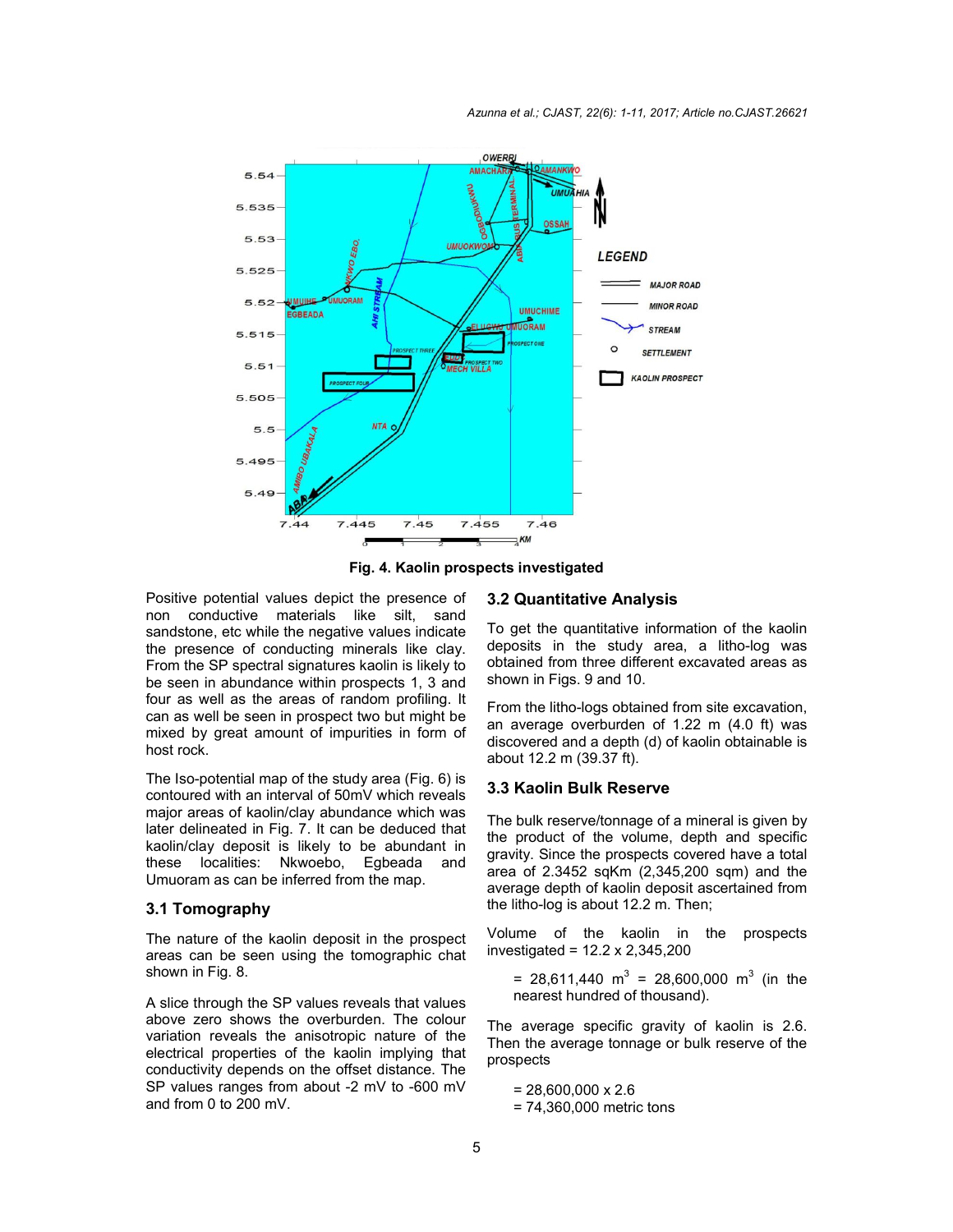

**Fig. 4. Kaolin prospects investigated**

Positive potential values depict the presence of non conductive materials like silt, sand sandstone, etc while the negative values indicate the presence of conducting minerals like clay. From the SP spectral signatures kaolin is likely to be seen in abundance within prospects 1, 3 and four as well as the areas of random profiling. It can as well be seen in prospect two but might be mixed by great amount of impurities in form of host rock.

The Iso-potential map of the study area (Fig. 6) is contoured with an interval of 50mV which reveals major areas of kaolin/clay abundance which was later delineated in Fig. 7. It can be deduced that kaolin/clay deposit is likely to be abundant in these localities: Nkwoebo, Egbeada and Umuoram as can be inferred from the map.

#### **3.1 Tomography**

The nature of the kaolin deposit in the prospect areas can be seen using the tomographic chat shown in Fig. 8.

A slice through the SP values reveals that values above zero shows the overburden. The colour variation reveals the anisotropic nature of the electrical properties of the kaolin implying that conductivity depends on the offset distance. The SP values ranges from about -2 mV to -600 mV and from 0 to 200 mV.

#### **3.2 Quantitative Analysis**

To get the quantitative information of the kaolin deposits in the study area, a litho-log was obtained from three different excavated areas as shown in Figs. 9 and 10.

From the litho-logs obtained from site excavation, an average overburden of 1.22 m (4.0 ft) was discovered and a depth (d) of kaolin obtainable is about 12.2 m (39.37 ft).

#### **3.3 Kaolin Bulk Reserve**

The bulk reserve/tonnage of a mineral is given by the product of the volume, depth and specific gravity. Since the prospects covered have a total area of 2.3452 sqKm (2,345,200 sqm) and the average depth of kaolin deposit ascertained from the litho-log is about 12.2 m. Then;

Volume of the kaolin in the prospects investigated = 12.2 x 2,345,200

= 28,611,440  $m^3$  = 28,600,000  $m^3$  (in the nearest hundred of thousand).

The average specific gravity of kaolin is 2.6. Then the average tonnage or bulk reserve of the prospects

 $= 28,600,000 \times 2.6$ = 74,360,000 metric tons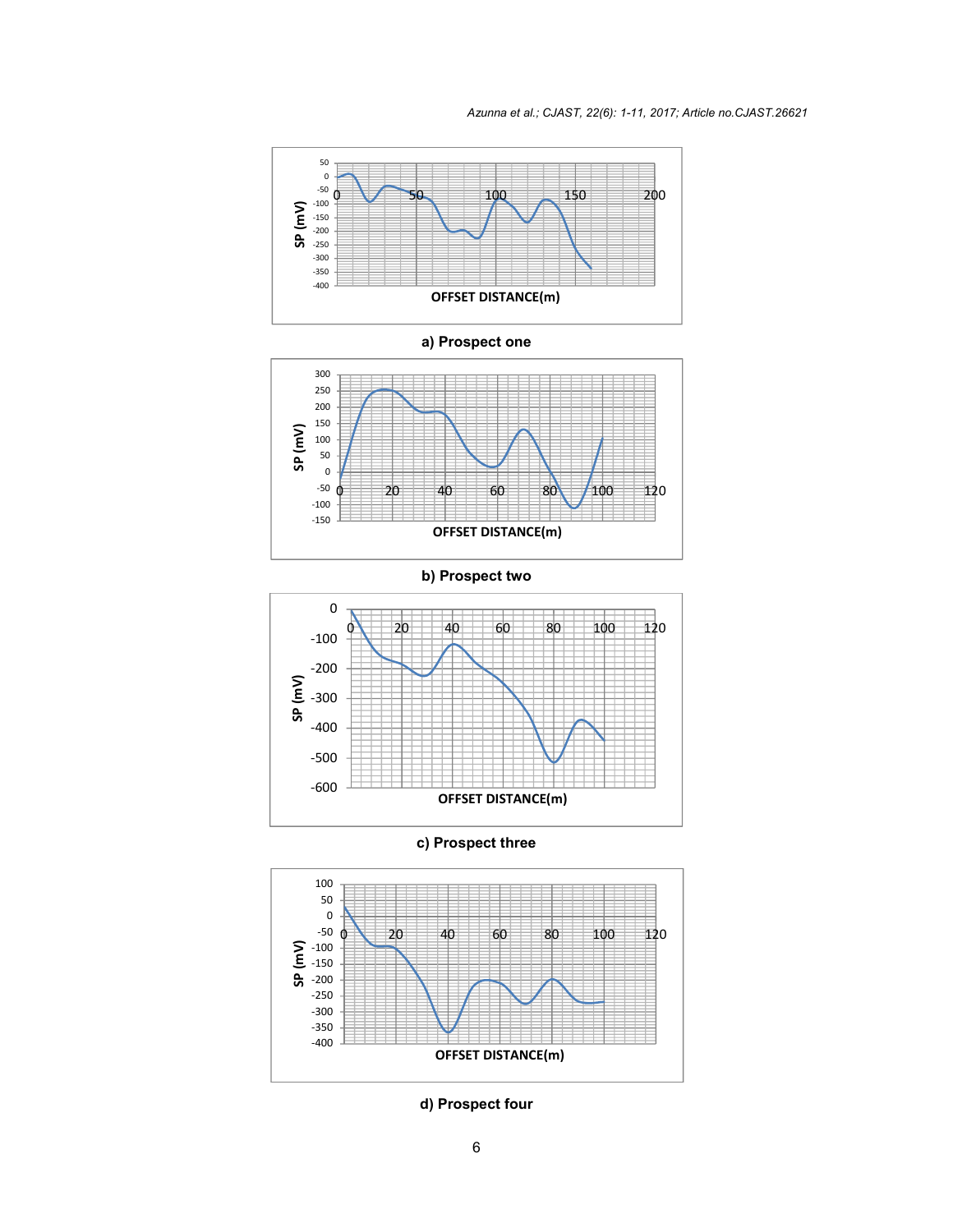

**a) Prospect one**



**b) Prospect two**



**c) Prospect three**



**d) Prospect four**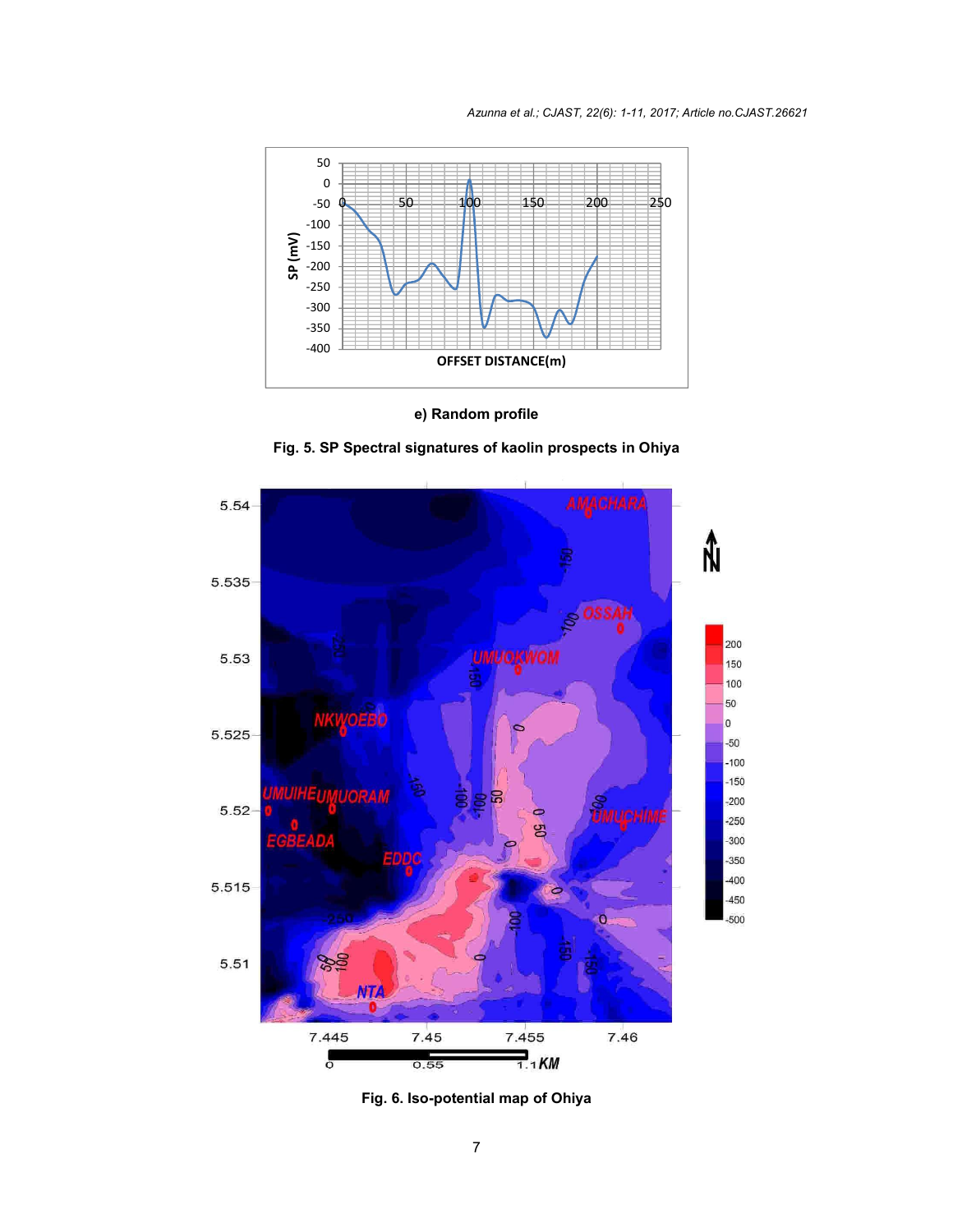

**e) Random profile**





**Fig. 6. Iso-potential map of Ohiya**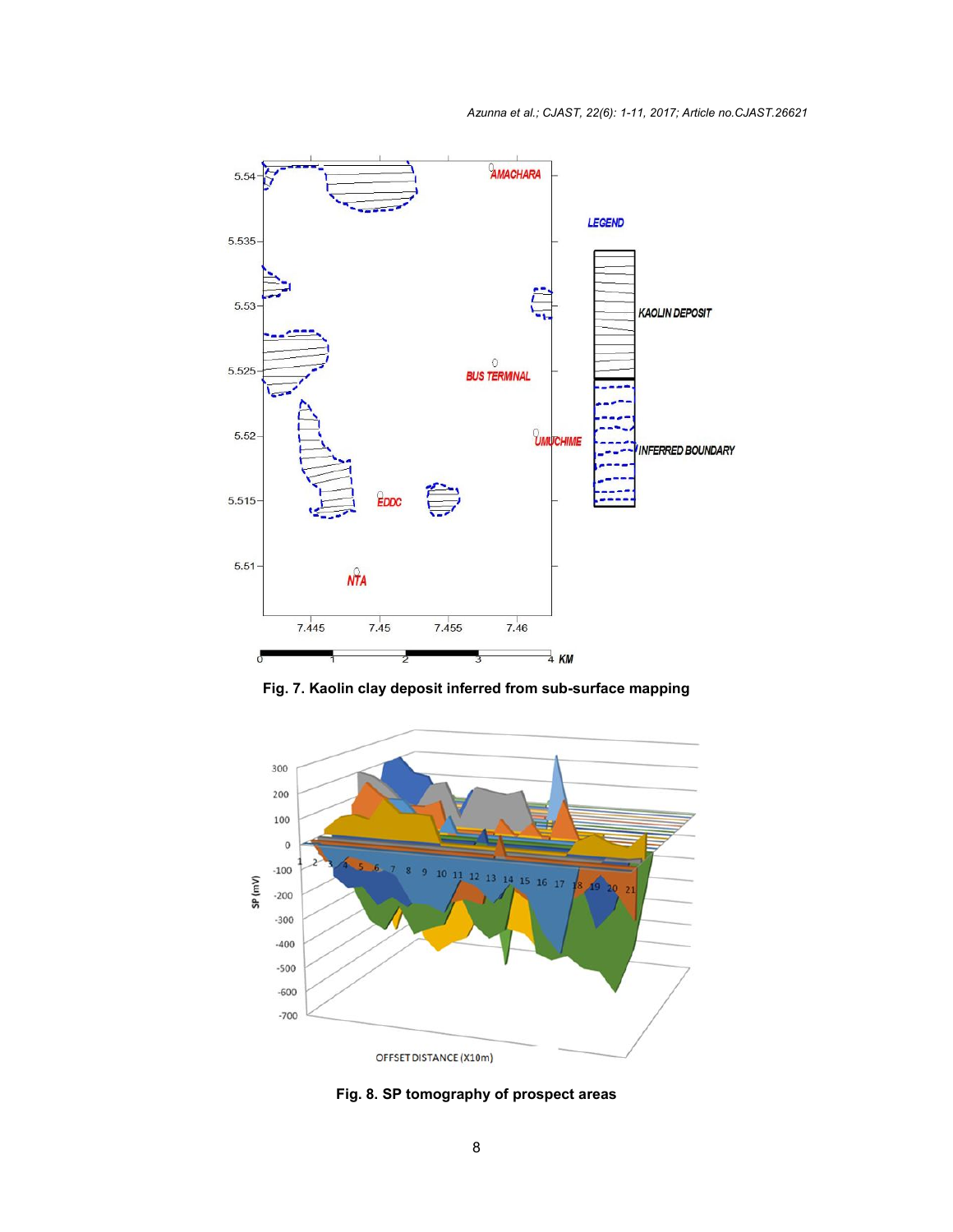

**Fig. 7. Kaolin clay deposit inferred from sub-surface mapping**



**Fig. 8. SP tomography of prospect areas**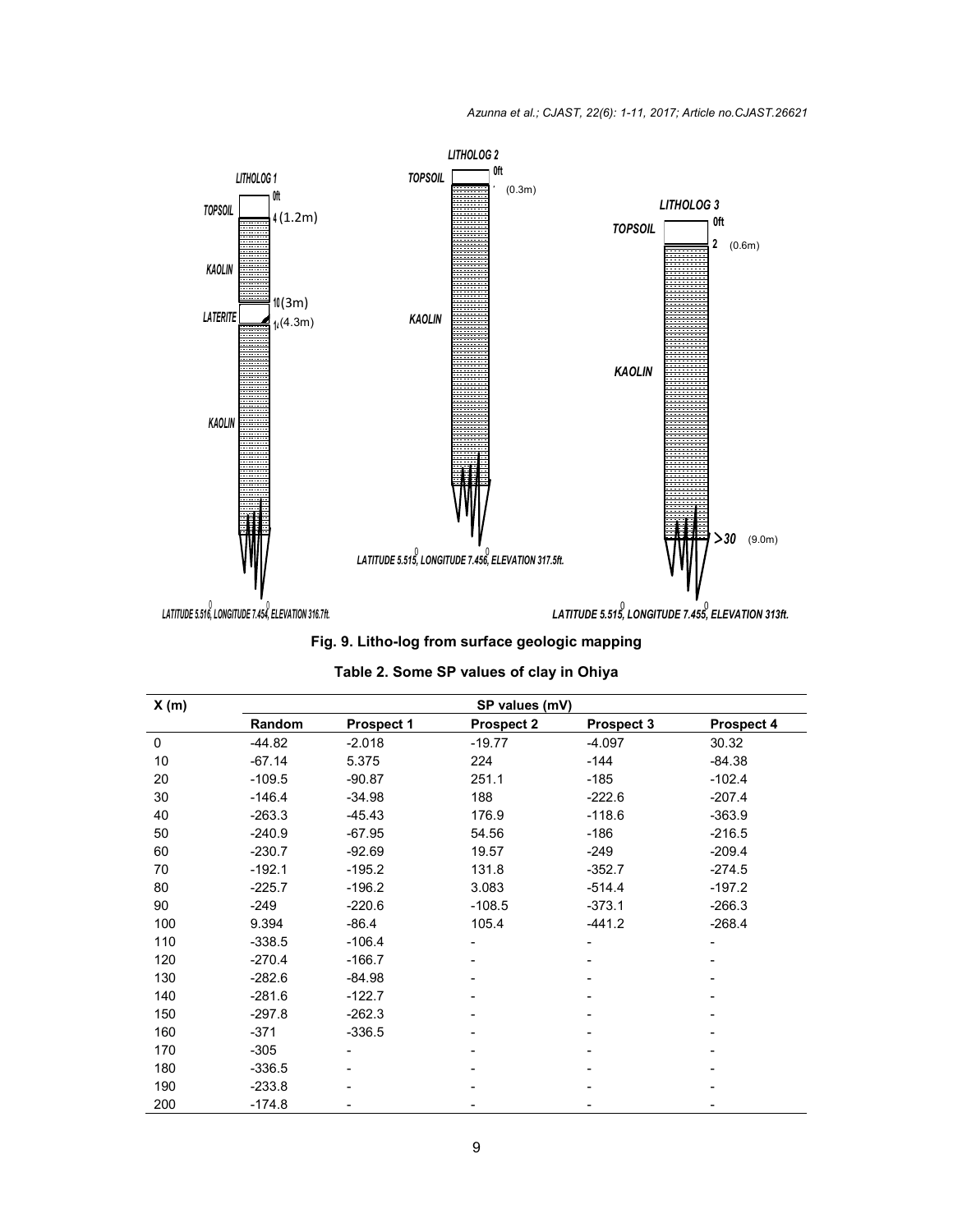

**Fig. 9. Litho-log from surface geologic mapping**

| X(m) | SP values (mV) |                   |                   |            |            |  |
|------|----------------|-------------------|-------------------|------------|------------|--|
|      | Random         | <b>Prospect 1</b> | <b>Prospect 2</b> | Prospect 3 | Prospect 4 |  |
| 0    | $-44.82$       | $-2.018$          | $-19.77$          | $-4.097$   | 30.32      |  |
| 10   | $-67.14$       | 5.375             | 224               | -144       | $-84.38$   |  |
| 20   | $-109.5$       | $-90.87$          | 251.1             | $-185$     | $-102.4$   |  |
| 30   | $-146.4$       | $-34.98$          | 188               | $-222.6$   | $-207.4$   |  |
| 40   | $-263.3$       | $-45.43$          | 176.9             | $-118.6$   | $-363.9$   |  |
| 50   | $-240.9$       | $-67.95$          | 54.56             | -186       | $-216.5$   |  |
| 60   | $-230.7$       | $-92.69$          | 19.57             | -249       | $-209.4$   |  |
| 70   | $-192.1$       | $-195.2$          | 131.8             | $-352.7$   | $-274.5$   |  |
| 80   | $-225.7$       | $-196.2$          | 3.083             | $-514.4$   | $-197.2$   |  |
| 90   | $-249$         | $-220.6$          | $-108.5$          | $-373.1$   | $-266.3$   |  |
| 100  | 9.394          | $-86.4$           | 105.4             | $-441.2$   | $-268.4$   |  |
| 110  | $-338.5$       | $-106.4$          |                   |            |            |  |
| 120  | $-270.4$       | $-166.7$          |                   |            |            |  |
| 130  | $-282.6$       | $-84.98$          |                   |            |            |  |
| 140  | $-281.6$       | $-122.7$          |                   |            |            |  |
| 150  | $-297.8$       | $-262.3$          |                   |            |            |  |
| 160  | $-371$         | $-336.5$          |                   |            |            |  |
| 170  | $-305$         |                   |                   |            |            |  |
| 180  | $-336.5$       |                   |                   |            |            |  |
| 190  | $-233.8$       |                   |                   |            |            |  |
| 200  | $-174.8$       |                   |                   |            |            |  |

# **Table 2. Some SP values of clay in Ohiya**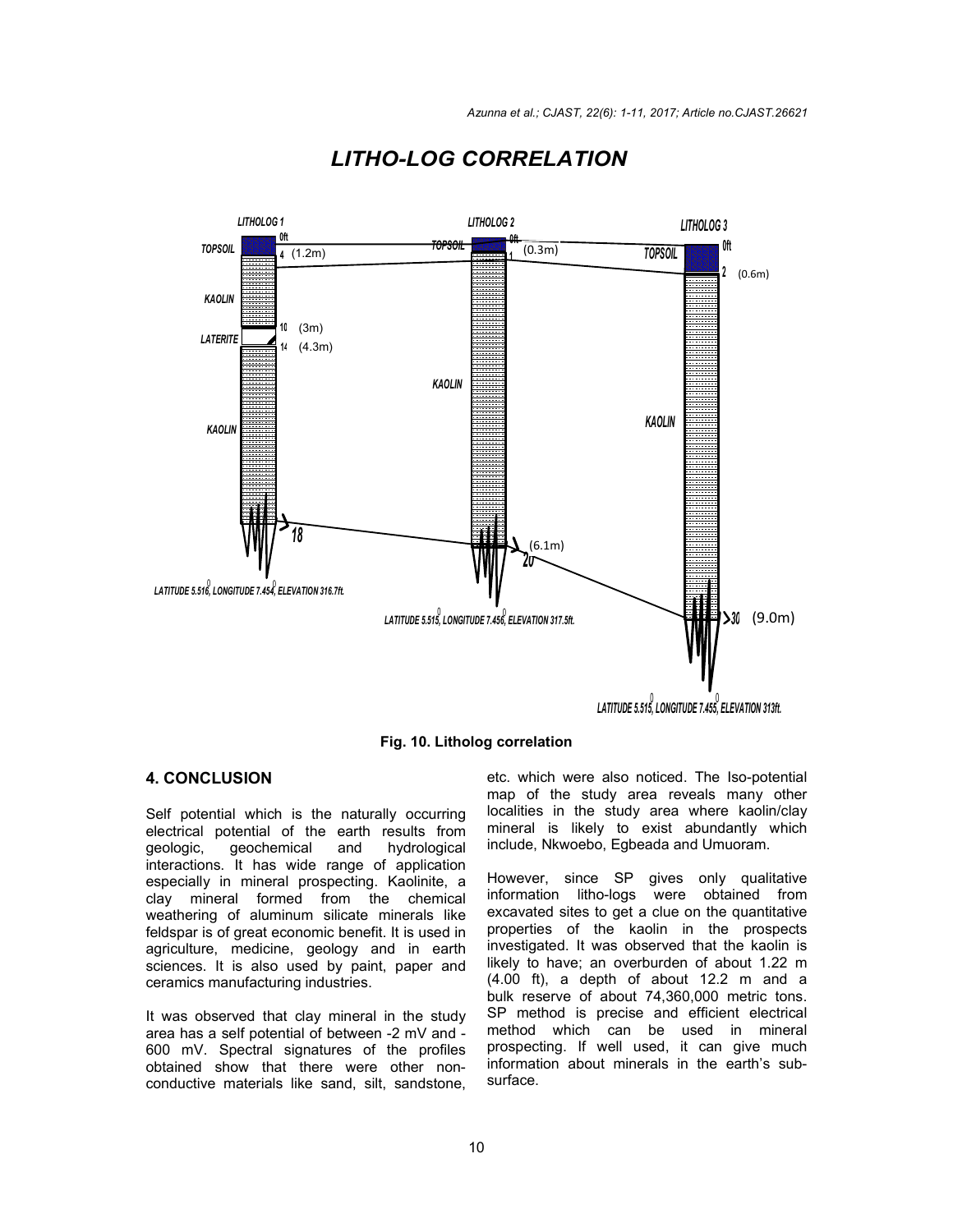

# *LITHO-LOG CORRELATION*

**Fig. 10. Litholog correlation**

# **4. CONCLUSION**

Self potential which is the naturally occurring electrical potential of the earth results from geologic, geochemical and hydrological interactions. It has wide range of application especially in mineral prospecting. Kaolinite, a clay mineral formed from the chemical weathering of aluminum silicate minerals like feldspar is of great economic benefit. It is used in agriculture, medicine, geology and in earth sciences. It is also used by paint, paper and ceramics manufacturing industries.

It was observed that clay mineral in the study area has a self potential of between -2 mV and - 600 mV. Spectral signatures of the profiles obtained show that there were other nonconductive materials like sand, silt, sandstone,

etc. which were also noticed. The Iso-potential map of the study area reveals many other localities in the study area where kaolin/clay mineral is likely to exist abundantly which include, Nkwoebo, Egbeada and Umuoram.

However, since SP gives only qualitative information litho-logs were obtained from excavated sites to get a clue on the quantitative properties of the kaolin in the prospects investigated. It was observed that the kaolin is likely to have; an overburden of about 1.22 m (4.00 ft), a depth of about 12.2 m and a bulk reserve of about 74,360,000 metric tons. SP method is precise and efficient electrical method which can be used in mineral prospecting. If well used, it can give much information about minerals in the earth's subsurface.